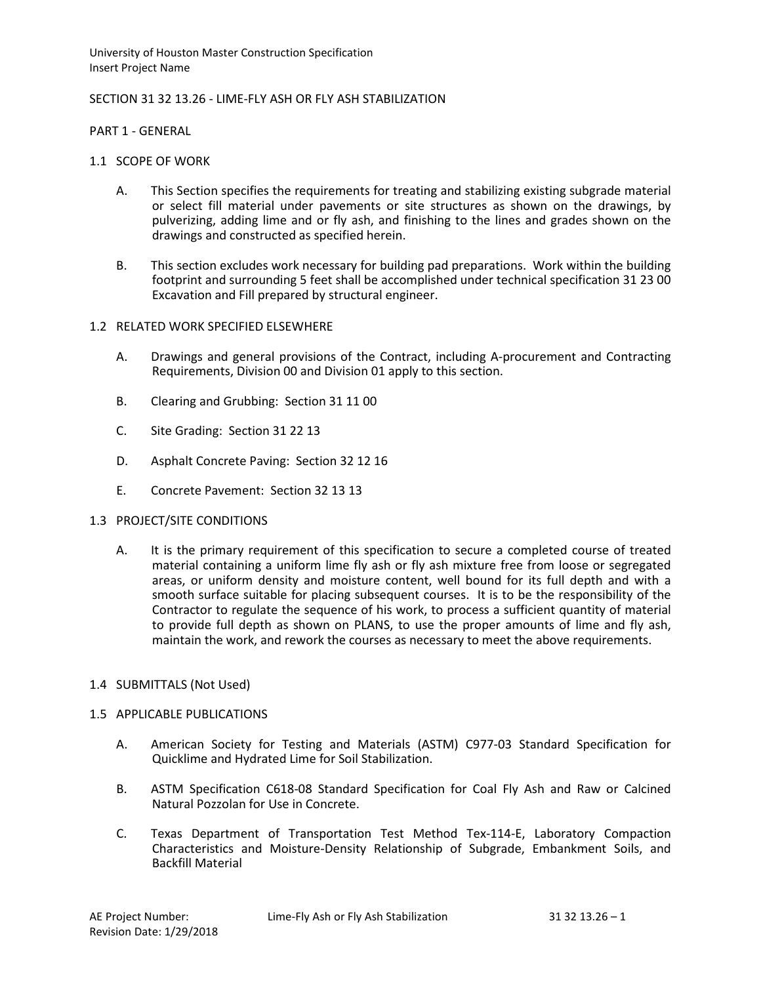### SECTION 31 32 13.26 - LIME-FLY ASH OR FLY ASH STABILIZATION

PART 1 - GENERAL

- 1.1 SCOPE OF WORK
	- A. This Section specifies the requirements for treating and stabilizing existing subgrade material or select fill material under pavements or site structures as shown on the drawings, by pulverizing, adding lime and or fly ash, and finishing to the lines and grades shown on the drawings and constructed as specified herein.
	- B. This section excludes work necessary for building pad preparations. Work within the building footprint and surrounding 5 feet shall be accomplished under technical specification 31 23 00 Excavation and Fill prepared by structural engineer.

### 1.2 RELATED WORK SPECIFIED ELSEWHERE

- A. Drawings and general provisions of the Contract, including A-procurement and Contracting Requirements, Division 00 and Division 01 apply to this section.
- B. Clearing and Grubbing: Section 31 11 00
- C. Site Grading: Section 31 22 13
- D. Asphalt Concrete Paving: Section 32 12 16
- E. Concrete Pavement: Section 32 13 13

#### 1.3 PROJECT/SITE CONDITIONS

A. It is the primary requirement of this specification to secure a completed course of treated material containing a uniform lime fly ash or fly ash mixture free from loose or segregated areas, or uniform density and moisture content, well bound for its full depth and with a smooth surface suitable for placing subsequent courses. It is to be the responsibility of the Contractor to regulate the sequence of his work, to process a sufficient quantity of material to provide full depth as shown on PLANS, to use the proper amounts of lime and fly ash, maintain the work, and rework the courses as necessary to meet the above requirements.

#### 1.4 SUBMITTALS (Not Used)

#### 1.5 APPLICABLE PUBLICATIONS

- A. American Society for Testing and Materials (ASTM) C977-03 Standard Specification for Quicklime and Hydrated Lime for Soil Stabilization.
- B. ASTM Specification C618-08 Standard Specification for Coal Fly Ash and Raw or Calcined Natural Pozzolan for Use in Concrete.
- C. Texas Department of Transportation Test Method Tex-114-E, Laboratory Compaction Characteristics and Moisture-Density Relationship of Subgrade, Embankment Soils, and Backfill Material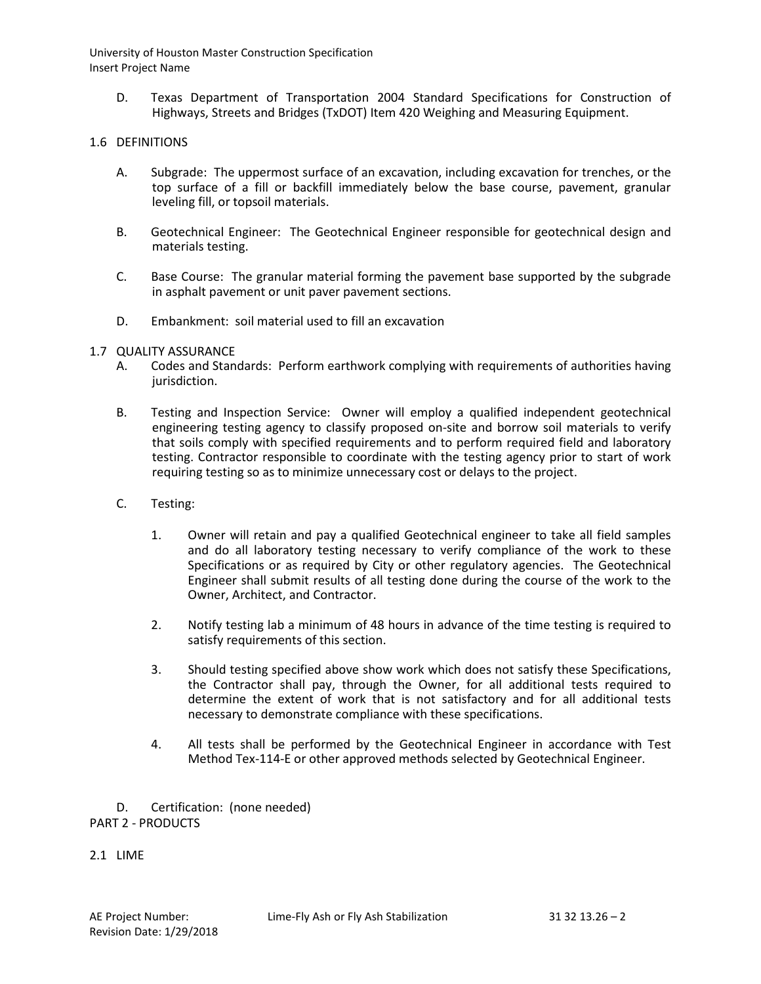D. Texas Department of Transportation 2004 Standard Specifications for Construction of Highways, Streets and Bridges (TxDOT) Item 420 Weighing and Measuring Equipment.

### 1.6 DEFINITIONS

- A. Subgrade: The uppermost surface of an excavation, including excavation for trenches, or the top surface of a fill or backfill immediately below the base course, pavement, granular leveling fill, or topsoil materials.
- B. Geotechnical Engineer: The Geotechnical Engineer responsible for geotechnical design and materials testing.
- C. Base Course: The granular material forming the pavement base supported by the subgrade in asphalt pavement or unit paver pavement sections.
- D. Embankment: soil material used to fill an excavation
- 1.7 QUALITY ASSURANCE
	- A. Codes and Standards: Perform earthwork complying with requirements of authorities having jurisdiction.
	- B. Testing and Inspection Service: Owner will employ a qualified independent geotechnical engineering testing agency to classify proposed on-site and borrow soil materials to verify that soils comply with specified requirements and to perform required field and laboratory testing. Contractor responsible to coordinate with the testing agency prior to start of work requiring testing so as to minimize unnecessary cost or delays to the project.
	- C. Testing:
		- 1. Owner will retain and pay a qualified Geotechnical engineer to take all field samples and do all laboratory testing necessary to verify compliance of the work to these Specifications or as required by City or other regulatory agencies. The Geotechnical Engineer shall submit results of all testing done during the course of the work to the Owner, Architect, and Contractor.
		- 2. Notify testing lab a minimum of 48 hours in advance of the time testing is required to satisfy requirements of this section.
		- 3. Should testing specified above show work which does not satisfy these Specifications, the Contractor shall pay, through the Owner, for all additional tests required to determine the extent of work that is not satisfactory and for all additional tests necessary to demonstrate compliance with these specifications.
		- 4. All tests shall be performed by the Geotechnical Engineer in accordance with Test Method Tex-114-E or other approved methods selected by Geotechnical Engineer.

D. Certification: (none needed) PART 2 - PRODUCTS

2.1 LIME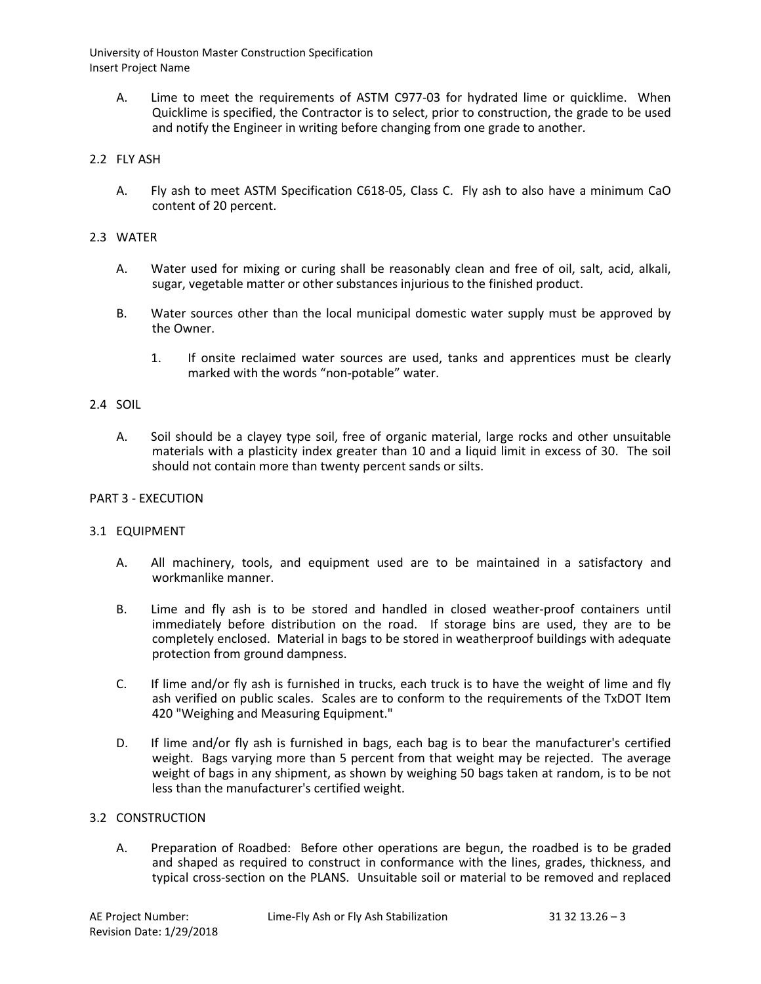A. Lime to meet the requirements of ASTM C977-03 for hydrated lime or quicklime. When Quicklime is specified, the Contractor is to select, prior to construction, the grade to be used and notify the Engineer in writing before changing from one grade to another.

# 2.2 FLY ASH

A. Fly ash to meet ASTM Specification C618-05, Class C. Fly ash to also have a minimum CaO content of 20 percent.

### 2.3 WATER

- A. Water used for mixing or curing shall be reasonably clean and free of oil, salt, acid, alkali, sugar, vegetable matter or other substances injurious to the finished product.
- B. Water sources other than the local municipal domestic water supply must be approved by the Owner.
	- 1. If onsite reclaimed water sources are used, tanks and apprentices must be clearly marked with the words "non-potable" water.

# 2.4 SOIL

A. Soil should be a clayey type soil, free of organic material, large rocks and other unsuitable materials with a plasticity index greater than 10 and a liquid limit in excess of 30. The soil should not contain more than twenty percent sands or silts.

### PART 3 - EXECUTION

# 3.1 EQUIPMENT

- A. All machinery, tools, and equipment used are to be maintained in a satisfactory and workmanlike manner.
- B. Lime and fly ash is to be stored and handled in closed weather-proof containers until immediately before distribution on the road. If storage bins are used, they are to be completely enclosed. Material in bags to be stored in weatherproof buildings with adequate protection from ground dampness.
- C. If lime and/or fly ash is furnished in trucks, each truck is to have the weight of lime and fly ash verified on public scales. Scales are to conform to the requirements of the TxDOT Item 420 "Weighing and Measuring Equipment."
- D. If lime and/or fly ash is furnished in bags, each bag is to bear the manufacturer's certified weight. Bags varying more than 5 percent from that weight may be rejected. The average weight of bags in any shipment, as shown by weighing 50 bags taken at random, is to be not less than the manufacturer's certified weight.

### 3.2 CONSTRUCTION

A. Preparation of Roadbed: Before other operations are begun, the roadbed is to be graded and shaped as required to construct in conformance with the lines, grades, thickness, and typical cross-section on the PLANS. Unsuitable soil or material to be removed and replaced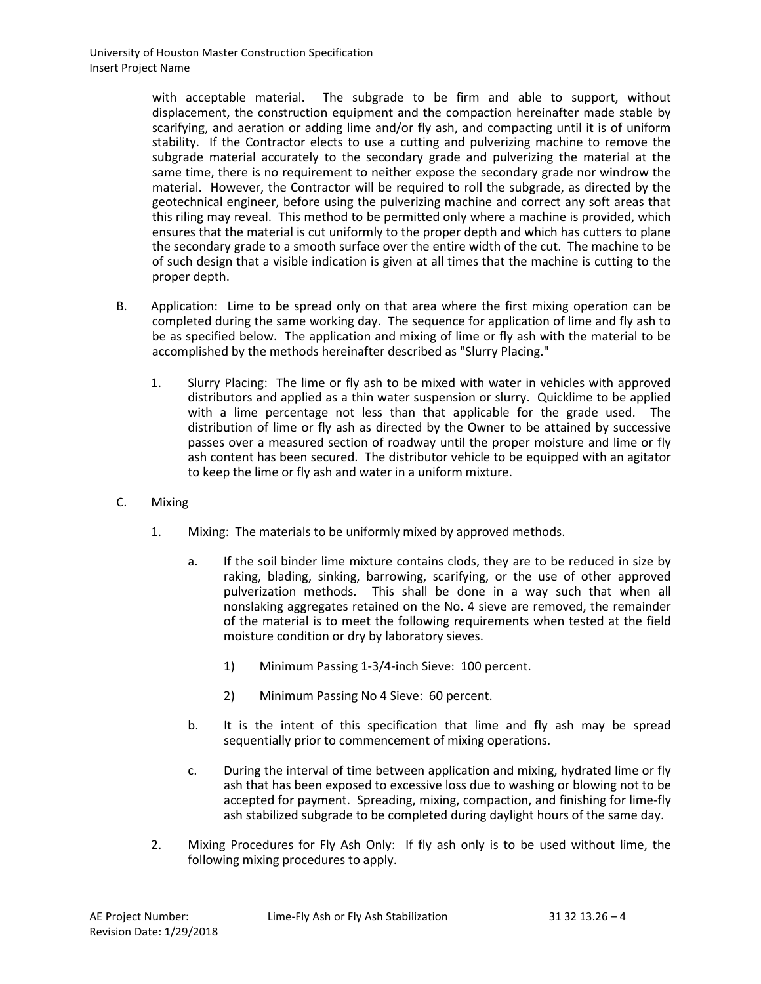with acceptable material. The subgrade to be firm and able to support, without displacement, the construction equipment and the compaction hereinafter made stable by scarifying, and aeration or adding lime and/or fly ash, and compacting until it is of uniform stability. If the Contractor elects to use a cutting and pulverizing machine to remove the subgrade material accurately to the secondary grade and pulverizing the material at the same time, there is no requirement to neither expose the secondary grade nor windrow the material. However, the Contractor will be required to roll the subgrade, as directed by the geotechnical engineer, before using the pulverizing machine and correct any soft areas that this riling may reveal. This method to be permitted only where a machine is provided, which ensures that the material is cut uniformly to the proper depth and which has cutters to plane the secondary grade to a smooth surface over the entire width of the cut. The machine to be of such design that a visible indication is given at all times that the machine is cutting to the proper depth.

- B. Application: Lime to be spread only on that area where the first mixing operation can be completed during the same working day. The sequence for application of lime and fly ash to be as specified below. The application and mixing of lime or fly ash with the material to be accomplished by the methods hereinafter described as "Slurry Placing."
	- 1. Slurry Placing: The lime or fly ash to be mixed with water in vehicles with approved distributors and applied as a thin water suspension or slurry. Quicklime to be applied with a lime percentage not less than that applicable for the grade used. The distribution of lime or fly ash as directed by the Owner to be attained by successive passes over a measured section of roadway until the proper moisture and lime or fly ash content has been secured. The distributor vehicle to be equipped with an agitator to keep the lime or fly ash and water in a uniform mixture.
- C. Mixing
	- 1. Mixing: The materials to be uniformly mixed by approved methods.
		- a. If the soil binder lime mixture contains clods, they are to be reduced in size by raking, blading, sinking, barrowing, scarifying, or the use of other approved pulverization methods. This shall be done in a way such that when all nonslaking aggregates retained on the No. 4 sieve are removed, the remainder of the material is to meet the following requirements when tested at the field moisture condition or dry by laboratory sieves.
			- 1) Minimum Passing 1-3/4-inch Sieve: 100 percent.
			- 2) Minimum Passing No 4 Sieve: 60 percent.
		- b. It is the intent of this specification that lime and fly ash may be spread sequentially prior to commencement of mixing operations.
		- c. During the interval of time between application and mixing, hydrated lime or fly ash that has been exposed to excessive loss due to washing or blowing not to be accepted for payment. Spreading, mixing, compaction, and finishing for lime-fly ash stabilized subgrade to be completed during daylight hours of the same day.
	- 2. Mixing Procedures for Fly Ash Only: If fly ash only is to be used without lime, the following mixing procedures to apply.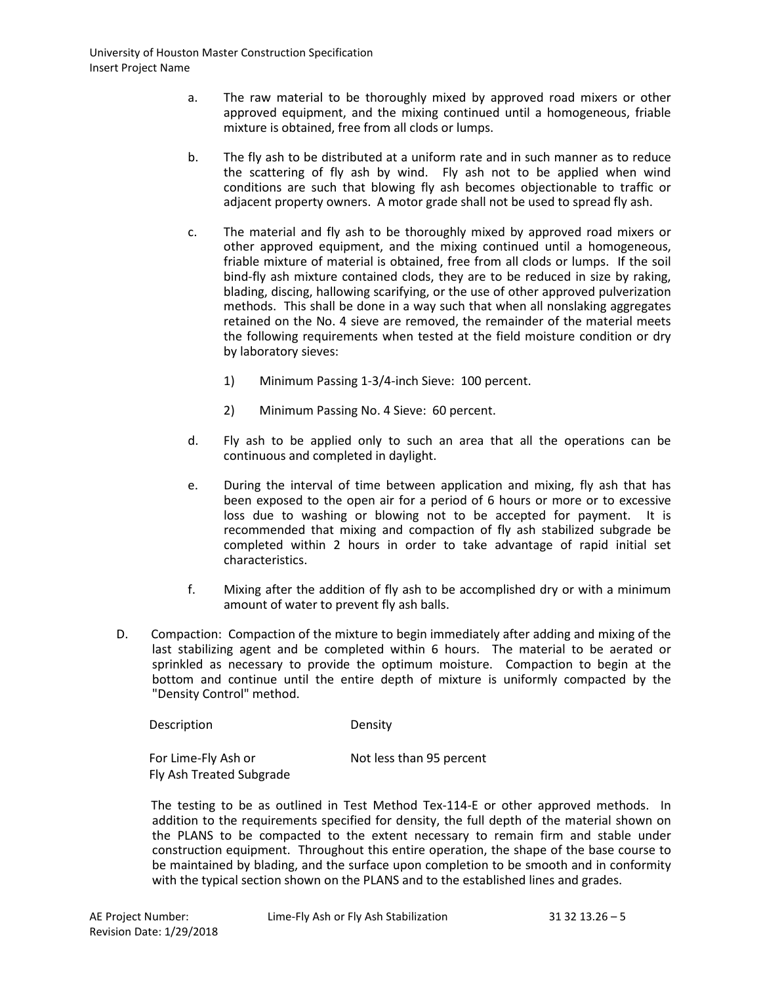- a. The raw material to be thoroughly mixed by approved road mixers or other approved equipment, and the mixing continued until a homogeneous, friable mixture is obtained, free from all clods or lumps.
- b. The fly ash to be distributed at a uniform rate and in such manner as to reduce the scattering of fly ash by wind. Fly ash not to be applied when wind conditions are such that blowing fly ash becomes objectionable to traffic or adjacent property owners. A motor grade shall not be used to spread fly ash.
- c. The material and fly ash to be thoroughly mixed by approved road mixers or other approved equipment, and the mixing continued until a homogeneous, friable mixture of material is obtained, free from all clods or lumps. If the soil bind-fly ash mixture contained clods, they are to be reduced in size by raking, blading, discing, hallowing scarifying, or the use of other approved pulverization methods. This shall be done in a way such that when all nonslaking aggregates retained on the No. 4 sieve are removed, the remainder of the material meets the following requirements when tested at the field moisture condition or dry by laboratory sieves:
	- 1) Minimum Passing 1-3/4-inch Sieve: 100 percent.
	- 2) Minimum Passing No. 4 Sieve: 60 percent.
- d. Fly ash to be applied only to such an area that all the operations can be continuous and completed in daylight.
- e. During the interval of time between application and mixing, fly ash that has been exposed to the open air for a period of 6 hours or more or to excessive loss due to washing or blowing not to be accepted for payment. It is recommended that mixing and compaction of fly ash stabilized subgrade be completed within 2 hours in order to take advantage of rapid initial set characteristics.
- f. Mixing after the addition of fly ash to be accomplished dry or with a minimum amount of water to prevent fly ash balls.
- D. Compaction: Compaction of the mixture to begin immediately after adding and mixing of the last stabilizing agent and be completed within 6 hours. The material to be aerated or sprinkled as necessary to provide the optimum moisture. Compaction to begin at the bottom and continue until the entire depth of mixture is uniformly compacted by the "Density Control" method.

| Description | Density |
|-------------|---------|
|             |         |

Fly Ash Treated Subgrade

For Lime-Fly Ash or Not less than 95 percent

The testing to be as outlined in Test Method Tex-114-E or other approved methods. In addition to the requirements specified for density, the full depth of the material shown on the PLANS to be compacted to the extent necessary to remain firm and stable under construction equipment. Throughout this entire operation, the shape of the base course to be maintained by blading, and the surface upon completion to be smooth and in conformity with the typical section shown on the PLANS and to the established lines and grades.

AE Project Number: Lime-Fly Ash or Fly Ash Stabilization 31 32 13.26 – 5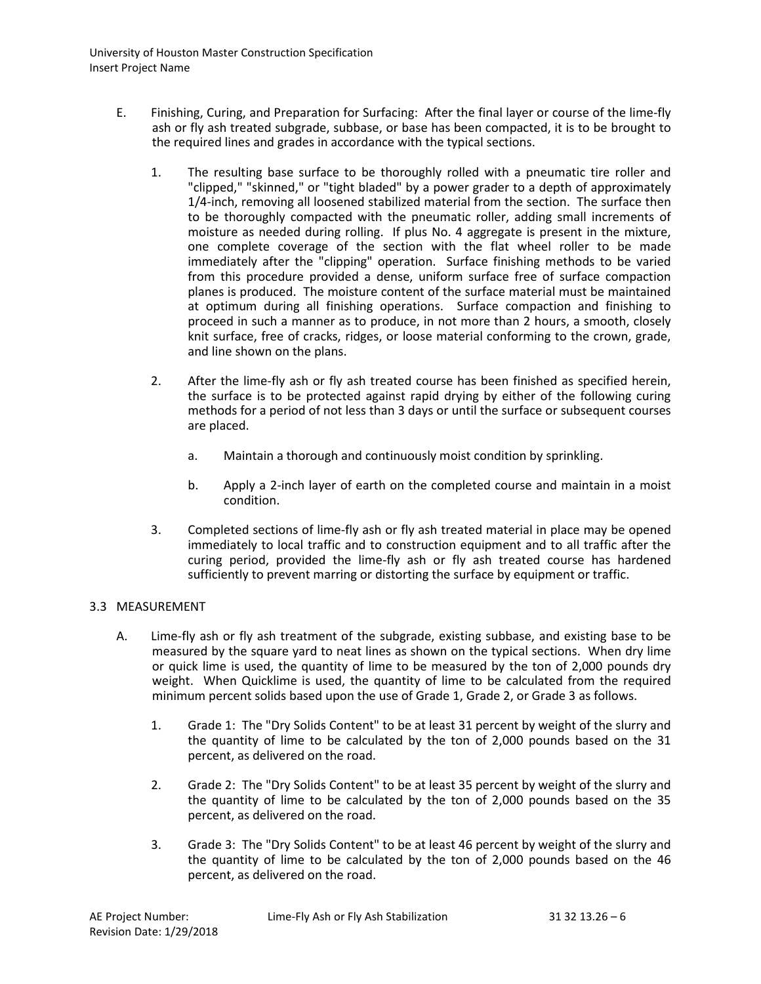- E. Finishing, Curing, and Preparation for Surfacing: After the final layer or course of the lime-fly ash or fly ash treated subgrade, subbase, or base has been compacted, it is to be brought to the required lines and grades in accordance with the typical sections.
	- 1. The resulting base surface to be thoroughly rolled with a pneumatic tire roller and "clipped," "skinned," or "tight bladed" by a power grader to a depth of approximately 1/4-inch, removing all loosened stabilized material from the section. The surface then to be thoroughly compacted with the pneumatic roller, adding small increments of moisture as needed during rolling. If plus No. 4 aggregate is present in the mixture, one complete coverage of the section with the flat wheel roller to be made immediately after the "clipping" operation. Surface finishing methods to be varied from this procedure provided a dense, uniform surface free of surface compaction planes is produced. The moisture content of the surface material must be maintained at optimum during all finishing operations. Surface compaction and finishing to proceed in such a manner as to produce, in not more than 2 hours, a smooth, closely knit surface, free of cracks, ridges, or loose material conforming to the crown, grade, and line shown on the plans.
	- 2. After the lime-fly ash or fly ash treated course has been finished as specified herein, the surface is to be protected against rapid drying by either of the following curing methods for a period of not less than 3 days or until the surface or subsequent courses are placed.
		- a. Maintain a thorough and continuously moist condition by sprinkling.
		- b. Apply a 2-inch layer of earth on the completed course and maintain in a moist condition.
	- 3. Completed sections of lime-fly ash or fly ash treated material in place may be opened immediately to local traffic and to construction equipment and to all traffic after the curing period, provided the lime-fly ash or fly ash treated course has hardened sufficiently to prevent marring or distorting the surface by equipment or traffic.

# 3.3 MEASUREMENT

- A. Lime-fly ash or fly ash treatment of the subgrade, existing subbase, and existing base to be measured by the square yard to neat lines as shown on the typical sections. When dry lime or quick lime is used, the quantity of lime to be measured by the ton of 2,000 pounds dry weight. When Quicklime is used, the quantity of lime to be calculated from the required minimum percent solids based upon the use of Grade 1, Grade 2, or Grade 3 as follows.
	- 1. Grade 1: The "Dry Solids Content" to be at least 31 percent by weight of the slurry and the quantity of lime to be calculated by the ton of 2,000 pounds based on the 31 percent, as delivered on the road.
	- 2. Grade 2: The "Dry Solids Content" to be at least 35 percent by weight of the slurry and the quantity of lime to be calculated by the ton of 2,000 pounds based on the 35 percent, as delivered on the road.
	- 3. Grade 3: The "Dry Solids Content" to be at least 46 percent by weight of the slurry and the quantity of lime to be calculated by the ton of 2,000 pounds based on the 46 percent, as delivered on the road.